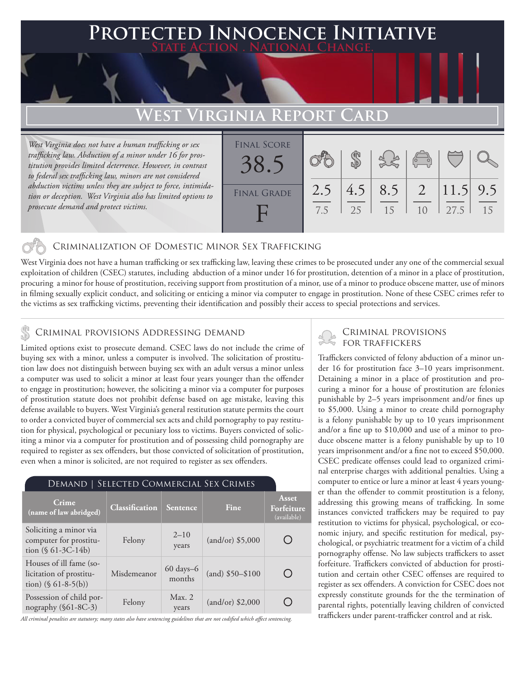### **PTED INNOCENCE INITIATIVE State Action . National Change.**

## **West Virginia Report Card**

*West Virginia does not have a human trafficking or sex trafficking law. Abduction of a minor under 16 for prostitution provides limited deterrence. However, in contrast to federal sex trafficking law, minors are not considered abduction victims unless they are subject to force, intimidation or deception. West Virginia also has limited options to prosecute demand and protect victims.*

| <b>FINAL SCORE</b><br>38. |            |           |           | $\begin{pmatrix} 1 & 1 \\ 0 & 0 \end{pmatrix}$ |                    |    |
|---------------------------|------------|-----------|-----------|------------------------------------------------|--------------------|----|
| <b>FINAL GRADE</b>        | 2.5<br>7.5 | 4.5<br>25 | 8.5<br>15 | $\begin{array}{ c c }$ 2<br>1 <sub>0</sub>     | $11.5$ 9.5<br>27.5 | 15 |

### Criminalization of Domestic Minor Sex Trafficking

West Virginia does not have a human trafficking or sex trafficking law, leaving these crimes to be prosecuted under any one of the commercial sexual exploitation of children (CSEC) statutes, including abduction of a minor under 16 for prostitution, detention of a minor in a place of prostitution, procuring a minor for house of prostitution, receiving support from prostitution of a minor, use of a minor to produce obscene matter, use of minors in filming sexually explicit conduct, and soliciting or enticing a minor via computer to engage in prostitution. None of these CSEC crimes refer to the victims as sex trafficking victims, preventing their identification and possibly their access to special protections and services.

## CRIMINAL PROVISIONS ADDRESSING DEMAND<br>FOR TRAFFICKERS & CRIMINAL PROVISIONS ADDRESSING DEMAND

Limited options exist to prosecute demand. CSEC laws do not include the crime of buying sex with a minor, unless a computer is involved. The solicitation of prostitution law does not distinguish between buying sex with an adult versus a minor unless a computer was used to solicit a minor at least four years younger than the offender to engage in prostitution; however, the soliciting a minor via a computer for purposes of prostitution statute does not prohibit defense based on age mistake, leaving this defense available to buyers. West Virginia's general restitution statute permits the court to order a convicted buyer of commercial sex acts and child pornography to pay restitution for physical, psychological or pecuniary loss to victims. Buyers convicted of soliciting a minor via a computer for prostitution and of possessing child pornography are required to register as sex offenders, but those convicted of solicitation of prostitution, even when a minor is solicited, are not required to register as sex offenders.

| SELECTED COMMERCIAL SEX CRIMES<br>Demand                                     |                |                     |                    |                                           |  |  |  |  |
|------------------------------------------------------------------------------|----------------|---------------------|--------------------|-------------------------------------------|--|--|--|--|
| Crime<br>(name of law abridged)                                              | Classification | <b>Sentence</b>     | Fine               | <b>Asset</b><br>Forfeiture<br>(available) |  |  |  |  |
| Soliciting a minor via<br>computer for prostitu-<br>tion $(\S 61-3C-14b)$    | Felony         | $2 - 10$<br>years   | $(and/or)$ \$5,000 |                                           |  |  |  |  |
| Houses of ill fame (so-<br>licitation of prostitu-<br>tion) $(\S 61-8-5(b))$ | Misdemeanor    | 60 days-6<br>months | $(and)$ \$50-\$100 |                                           |  |  |  |  |
| Possession of child por-<br>nography (§61-8C-3)                              | Felony         | Max. 2<br>years     | $(and/or)$ \$2,000 |                                           |  |  |  |  |

*All criminal penalties are statutory; many states also have sentencing guidelines that are not codified which affect sentencing.* 

# Criminal provisions

Traffickers convicted of felony abduction of a minor under 16 for prostitution face 3–10 years imprisonment. Detaining a minor in a place of prostitution and procuring a minor for a house of prostitution are felonies punishable by 2–5 years imprisonment and/or fines up to \$5,000. Using a minor to create child pornography is a felony punishable by up to 10 years imprisonment and/or a fine up to \$10,000 and use of a minor to produce obscene matter is a felony punishable by up to 10 years imprisonment and/or a fine not to exceed \$50,000. CSEC predicate offenses could lead to organized criminal enterprise charges with additional penalties. Using a computer to entice or lure a minor at least 4 years younger than the offender to commit prostitution is a felony, addressing this growing means of trafficking. In some instances convicted traffickers may be required to pay restitution to victims for physical, psychological, or economic injury, and specific restitution for medical, psychological, or psychiatric treatment for a victim of a child pornography offense. No law subjects traffickers to asset forfeiture. Traffickers convicted of abduction for prostitution and certain other CSEC offenses are required to register as sex offenders. A conviction for CSEC does not expressly constitute grounds for the the termination of parental rights, potentially leaving children of convicted traffickers under parent-trafficker control and at risk.